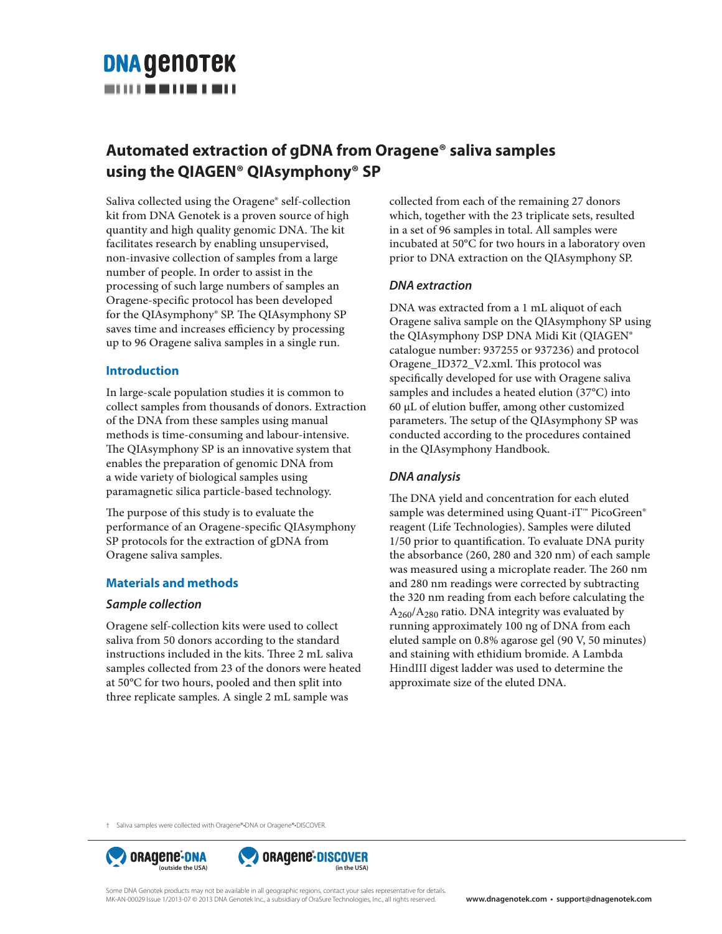# **DNA GENOTEK** -----------

# **Automated extraction of gDNA from Oragene® saliva samples using the QIAGEN® QIAsymphony® SP**

Saliva collected using the Oragene® self-collection kit from DNA Genotek is a proven source of high quantity and high quality genomic DNA. The kit facilitates research by enabling unsupervised, non-invasive collection of samples from a large number of people. In order to assist in the processing of such large numbers of samples an Oragene-specific protocol has been developed for the QIAsymphony® SP. The QIAsymphony SP saves time and increases efficiency by processing up to 96 Oragene saliva samples in a single run.

#### **Introduction**

In large-scale population studies it is common to collect samples from thousands of donors. Extraction of the DNA from these samples using manual methods is time-consuming and labour-intensive. The QIAsymphony SP is an innovative system that enables the preparation of genomic DNA from a wide variety of biological samples using paramagnetic silica particle-based technology.

The purpose of this study is to evaluate the performance of an Oragene-specific QIAsymphony SP protocols for the extraction of gDNA from Oragene saliva samples.

#### **Materials and methods**

#### *Sample collection*

Oragene self-collection kits were used to collect saliva from 50 donors according to the standard instructions included in the kits. Three 2 mL saliva samples collected from 23 of the donors were heated at 50°C for two hours, pooled and then split into three replicate samples. A single 2 mL sample was

collected from each of the remaining 27 donors which, together with the 23 triplicate sets, resulted in a set of 96 samples in total. All samples were incubated at 50°C for two hours in a laboratory oven prior to DNA extraction on the QIAsymphony SP.

## *DNA extraction*

DNA was extracted from a 1 mL aliquot of each Oragene saliva sample on the QIAsymphony SP using the QIAsymphony DSP DNA Midi Kit (QIAGEN® catalogue number: 937255 or 937236) and protocol Oragene\_ID372\_V2.xml. This protocol was specifically developed for use with Oragene saliva samples and includes a heated elution (37°C) into 60 µL of elution buffer, among other customized parameters. The setup of the QIAsymphony SP was conducted according to the procedures contained in the QIAsymphony Handbook.

## *DNA analysis*

The DNA yield and concentration for each eluted sample was determined using Quant-iT™ PicoGreen® reagent (Life Technologies). Samples were diluted  $1/50$  prior to quantification. To evaluate DNA purity the absorbance (260, 280 and 320 nm) of each sample was measured using a microplate reader. The 260 nm and 280 nm readings were corrected by subtracting the 320 nm reading from each before calculating the A260/A280 ratio. DNA integrity was evaluated by running approximately 100 ng of DNA from each eluted sample on 0.8% agarose gel (90 V, 50 minutes) and staining with ethidium bromide. A Lambda HindIII digest ladder was used to determine the approximate size of the eluted DNA.

† Saliva samples were collected with Oragene®•DNA or Oragene®•DISCOVER.





Some DNA Genotek products may not be available in all geographic regions, contact your sales representative for details. MK-AN-00029 Issue 1/2013-07 © 2013 DNA Genotek Inc., a subsidiary of OraSure Technologies, Inc., all rights reserved. **www.dnagenotek.com • support@dnagenotek.com**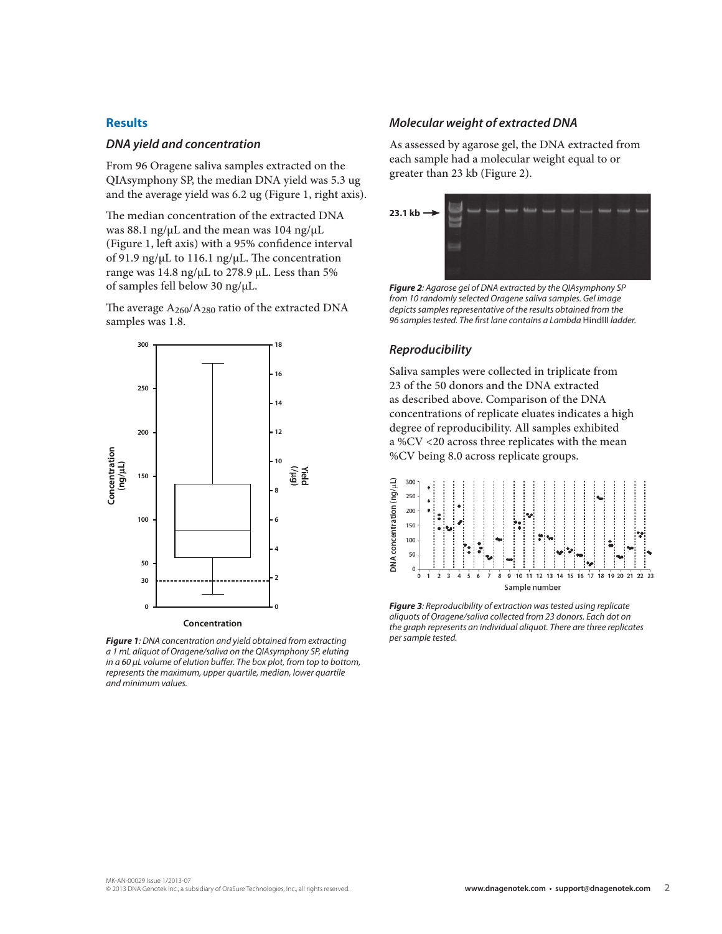#### **Results**

#### *DNA yield and concentration*

From 96 Oragene saliva samples extracted on the QIAsymphony SP, the median DNA yield was 5.3 ug and the average yield was 6.2 ug (Figure 1, right axis).

The median concentration of the extracted DNA was 88.1 ng/ $\mu$ L and the mean was 104 ng/ $\mu$ L (Figure 1, left axis) with a 95% confidence interval of 91.9 ng/ $\mu$ L to 116.1 ng/ $\mu$ L. The concentration range was 14.8 ng/µL to 278.9 µL. Less than 5% of samples fell below 30 ng/µL.

The average  $A_{260}/A_{280}$  ratio of the extracted DNA samples was 1.8.



*Figure 1: DNA concentration and yield obtained from extracting a 1 mL aliquot of Oragene/saliva on the QIAsymphony SP, eluting in a 60 µL volume of elution buffer. The box plot, from top to bottom, represents the maximum, upper quartile, median, lower quartile and minimum values.*

#### *Molecular weight of extracted DNA*

As assessed by agarose gel, the DNA extracted from each sample had a molecular weight equal to or greater than 23 kb (Figure 2).



*Figure 2: Agarose gel of DNA extracted by the QIAsymphony SP from 10 randomly selected Oragene saliva samples. Gel image depicts samples representative of the results obtained from the*  96 samples tested. The first lane contains a Lambda HindIII ladder.

#### *Reproducibility*

Saliva samples were collected in triplicate from 23 of the 50 donors and the DNA extracted as described above. Comparison of the DNA concentrations of replicate eluates indicates a high degree of reproducibility. All samples exhibited a %CV <20 across three replicates with the mean %CV being 8.0 across replicate groups.



*Figure 3: Reproducibility of extraction was tested using replicate aliquots of Oragene/saliva collected from 23 donors. Each dot on the graph represents an individual aliquot. There are three replicates per sample tested.*